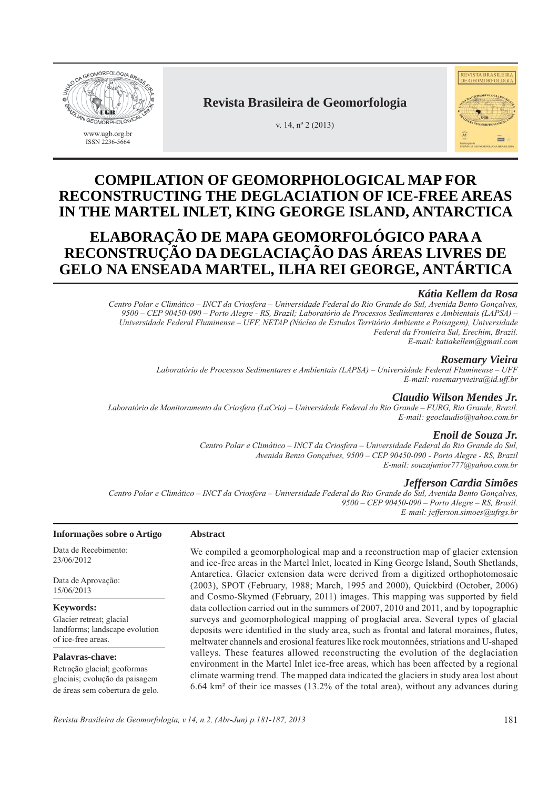



## **Revista Brasileira de Geomorfologia**

v. 14, nº 2 (2013)

# **COMPILATION OF GEOMORPHOLOGICAL MAP FOR RECONSTRUCTING THE DEGLACIATION OF ICE-FREE AREAS IN THE MARTEL INLET, KING GEORGE ISLAND, ANTARCTICA**

# **ELABORAÇÃO DE MAPA GEOMORFOLÓGICO PARA A RECONSTRUÇÃO DA DEGLACIAÇÃO DAS ÁREAS LIVRES DE GELO NA ENSEADA MARTEL, ILHA REI GEORGE, ANTÁRTICA**

## *Kátia Kellem da Rosa*

*Centro Polar e Climático – INCT da Criosfera – Universidade Federal do Rio Grande do Sul, Avenida Bento Gonçalves, 9500 – CEP 90450-090 – Porto Alegre - RS, Brazil; Laboratório de Processos Sedimentares e Ambientais (LAPSA) – Universidade Federal Fluminense – UFF, NETAP (Núcleo de Estudos Território Ambiente e Paisagem), Universidade Federal da Fronteira Sul, Erechim, Brazil. E-mail: katiakellem@gmail.com*

## *Rosemary Vieira*

*Laboratório de Processos Sedimentares e Ambientais (LAPSA) – Universidade Federal Fluminense – UFF E-mail: rosemaryvieira@id.uff.br*

## *Claudio Wilson Mendes Jr.*

*Laboratório de Monitoramento da Criosfera (LaCrio) – Universidade Federal do Rio Grande – FURG, Rio Grande, Brazil. E-mail: geoclaudio@yahoo.com.br*

## *Enoil de Souza Jr.*

*Centro Polar e Climático – INCT da Criosfera – Universidade Federal do Rio Grande do Sul, Avenida Bento Gonçalves, 9500 – CEP 90450-090 - Porto Alegre - RS, Brazil E-mail: souzajunior777@yahoo.com.br*

## *Jefferson Cardia Simões*

*Centro Polar e Climático – INCT da Criosfera – Universidade Federal do Rio Grande do Sul, Avenida Bento Gonçalves, 9500 – CEP 90450-090 – Porto Alegre – RS, Brasil. E-mail: jefferson.simoes@ufrgs.br*

## **Informações sobre o Artigo**

Data de Recebimento: 23/06/2012

Data de Aprovação: 15/06/2013

**Keywords:** Glacier retreat; glacial landforms; landscape evolution of ice-free areas.

**Palavras-chave:** Retração glacial; geoformas glaciais; evolução da paisagem de áreas sem cobertura de gelo. We compiled a geomorphological map and a reconstruction map of glacier extension and ice-free areas in the Martel Inlet, located in King George Island, South Shetlands, Antarctica. Glacier extension data were derived from a digitized orthophotomosaic (2003), SPOT (February, 1988; March, 1995 and 2000), Quickbird (October, 2006) and Cosmo-Skymed (February, 2011) images. This mapping was supported by field data collection carried out in the summers of 2007, 2010 and 2011, and by topographic surveys and geomorphological mapping of proglacial area. Several types of glacial deposits were identified in the study area, such as frontal and lateral moraines, flutes, meltwater channels and erosional features like rock moutonnées, striations and U-shaped valleys. These features allowed reconstructing the evolution of the deglaciation environment in the Martel Inlet ice-free areas, which has been affected by a regional climate warming trend*.* The mapped data indicated the glaciers in study area lost about 6.64 km² of their ice masses (13.2% of the total area), without any advances during

**Abstract**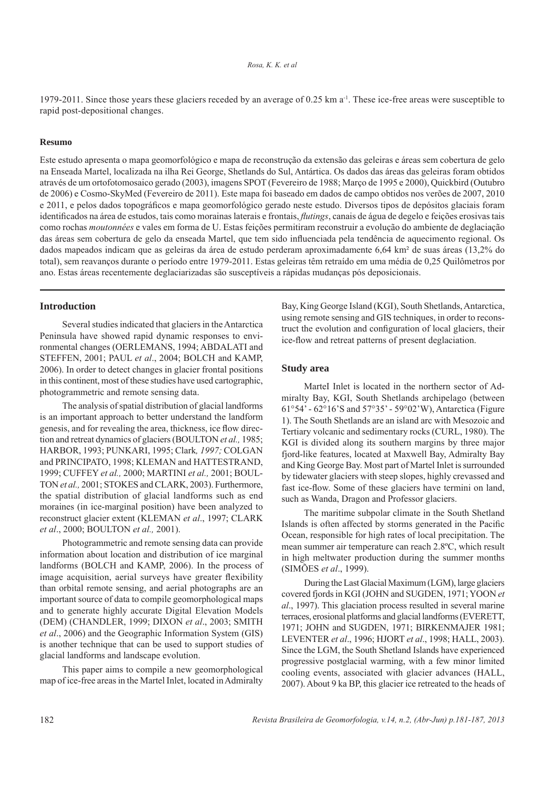1979-2011. Since those years these glaciers receded by an average of 0.25 km  $a^{-1}$ . These ice-free areas were susceptible to rapid post-depositional changes.

#### **Resumo**

Este estudo apresenta o mapa geomorfológico e mapa de reconstrução da extensão das geleiras e áreas sem cobertura de gelo na Enseada Martel, localizada na ilha Rei George, Shetlands do Sul, Antártica. Os dados das áreas das geleiras foram obtidos através de um ortofotomosaico gerado (2003), imagens SPOT (Fevereiro de 1988; Março de 1995 e 2000), Quickbird (Outubro de 2006) e Cosmo-SkyMed (Fevereiro de 2011). Este mapa foi baseado em dados de campo obtidos nos verões de 2007, 2010 e 2011, e pelos dados topográficos e mapa geomorfológico gerado neste estudo. Diversos tipos de depósitos glaciais foram identificados na área de estudos, tais como morainas laterais e frontais, *flutings*, canais de água de degelo e feições erosivas tais como rochas *moutonnées* e vales em forma de U. Estas feições permitiram reconstruir a evolução do ambiente de deglaciação das áreas sem cobertura de gelo da enseada Martel, que tem sido influenciada pela tendência de aquecimento regional. Os dados mapeados indicam que as geleiras da área de estudo perderam aproximadamente 6,64 km² de suas áreas (13,2% do total), sem reavanços durante o período entre 1979-2011. Estas geleiras têm retraído em uma média de 0,25 Quilômetros por ano. Estas áreas recentemente deglaciarizadas são susceptíveis a rápidas mudanças pós deposicionais.

#### **Introduction**

Several studies indicated that glaciers in the Antarctica Peninsula have showed rapid dynamic responses to environmental changes (OERLEMANS, 1994; ABDALATI and STEFFEN, 2001; PAUL *et al*., 2004; BOLCH and KAMP, 2006). In order to detect changes in glacier frontal positions in this continent, most of these studies have used cartographic, photogrammetric and remote sensing data.

The analysis of spatial distribution of glacial landforms is an important approach to better understand the landform genesis, and for revealing the area, thickness, ice flow direction and retreat dynamics of glaciers (BOULTON *et al.,* 1985; HARBOR, 1993; PUNKARI, 1995; Clark*, 1997;* COLGAN and PRINCIPATO, 1998; KLEMAN and HATTESTRAND, 1999; CUFFEY *et al.,* 2000; MARTINI *et al.,* 2001; BOUL-TON *et al.,* 2001; STOKES and CLARK, 2003). Furthermore, the spatial distribution of glacial landforms such as end moraines (in ice-marginal position) have been analyzed to reconstruct glacier extent (KLEMAN *et al*., 1997; CLARK *et al*., 2000; BOULTON *et al.,* 2001).

Photogrammetric and remote sensing data can provide information about location and distribution of ice marginal landforms (BOLCH and KAMP, 2006). In the process of image acquisition, aerial surveys have greater flexibility than orbital remote sensing, and aerial photographs are an important source of data to compile geomorphological maps and to generate highly accurate Digital Elevation Models (DEM) (CHANDLER, 1999; DIXON *et al*., 2003; SMITH *et al*., 2006) and the Geographic Information System (GIS) is another technique that can be used to support studies of glacial landforms and landscape evolution.

This paper aims to compile a new geomorphological map of ice-free areas in the Martel Inlet, located in Admiralty

Bay, King George Island (KGI), South Shetlands, Antarctica, using remote sensing and GIS techniques, in order to reconstruct the evolution and configuration of local glaciers, their ice-flow and retreat patterns of present deglaciation.

### **Study area**

MarteI Inlet is located in the northern sector of Admiralty Bay, KGI, South Shetlands archipelago (between 61°54' - 62°16'S and 57°35' - 59°02'W), Antarctica (Figure 1). The South Shetlands are an island arc with Mesozoic and Tertiary volcanic and sedimentary rocks (CURL, 1980). The KGI is divided along its southern margins by three major fjord-like features, located at Maxwell Bay, Admiralty Bay and King George Bay. Most part of Martel Inlet is surrounded by tidewater glaciers with steep slopes, highly crevassed and fast ice-flow. Some of these glaciers have termini on land, such as Wanda, Dragon and Professor glaciers.

The maritime subpolar climate in the South Shetland Islands is often affected by storms generated in the Pacific Ocean, responsible for high rates of local precipitation. The mean summer air temperature can reach 2.8ºC, which result in high meltwater production during the summer months (SIMÕES *et al*., 1999).

During the Last Glacial Maximum (LGM), large glaciers covered fjords in KGI (JOHN and SUGDEN, 1971; YOON *et al*., 1997). This glaciation process resulted in several marine terraces, erosional platforms and glacial landforms (EVERETT, 1971; JOHN and SUGDEN, 1971; BIRKENMAJER 1981; LEVENTER *et al*., 1996; HJORT *et al*., 1998; HALL, 2003). Since the LGM, the South Shetland Islands have experienced progressive postglacial warming, with a few minor limited cooling events, associated with glacier advances (HALL, 2007). About 9 ka BP, this glacier ice retreated to the heads of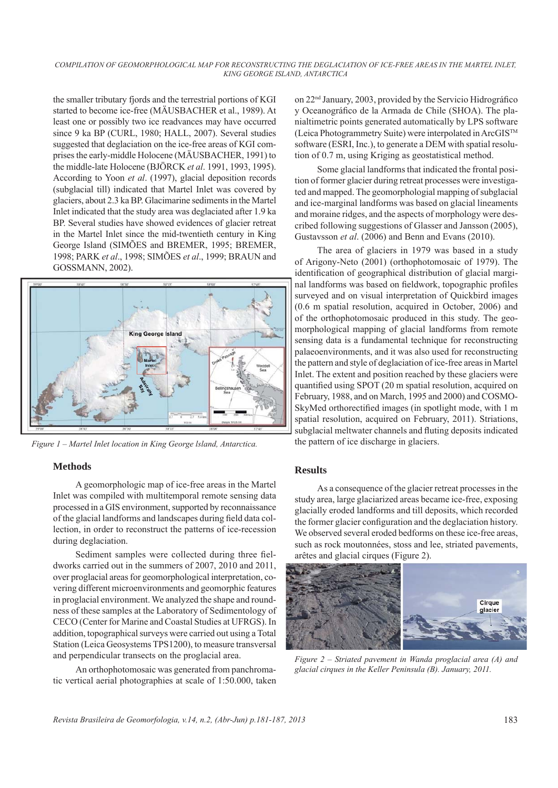the smaller tributary fjords and the terrestrial portions of KGI started to become ice-free (MÄUSBACHER et al., 1989). At least one or possibly two ice readvances may have occurred since 9 ka BP (CURL, 1980; HALL, 2007). Several studies suggested that deglaciation on the ice-free areas of KGI comprises the early-middle Holocene (MÄUSBACHER, 1991) to the middle-late Holocene (BJÖRCK *et al*. 1991, 1993, 1995). According to Yoon *et al*. (1997), glacial deposition records (subglacial till) indicated that Martel Inlet was covered by glaciers, about 2.3 ka BP. Glacimarine sediments in the Martel Inlet indicated that the study area was deglaciated after 1.9 ka BP. Several studies have showed evidences of glacier retreat in the Martel Inlet since the mid-twentieth century in King George Island (SIMÕES and BREMER, 1995; BREMER, 1998; PARK *et al*., 1998; SIMÕES *et al*., 1999; BRAUN and GOSSMANN, 2002).



*Figure 1 – Martel Inlet location in King George lsland, Antarctica.*

## **Methods**

A geomorphologic map of ice-free areas in the Martel Inlet was compiled with multitemporal remote sensing data processed in a GIS environment, supported by reconnaissance of the glacial landforms and landscapes during field data collection, in order to reconstruct the patterns of ice-recession during deglaciation.

Sediment samples were collected during three fieldworks carried out in the summers of 2007, 2010 and 2011, over proglacial areas for geomorphological interpretation, covering different microenvironments and geomorphic features in proglacial environment. We analyzed the shape and roundness of these samples at the Laboratory of Sedimentology of CECO (Center for Marine and Coastal Studies at UFRGS). In addition, topographical surveys were carried out using a Total Station (Leica Geosystems TPS1200), to measure transversal and perpendicular transects on the proglacial area.

An orthophotomosaic was generated from panchromatic vertical aerial photographies at scale of 1:50.000, taken on 22<sup>nd</sup> January, 2003, provided by the Servicio Hidrográfico y Oceanográfico de la Armada de Chile (SHOA). The planialtimetric points generated automatically by LPS software (Leica Photogrammetry Suite) were interpolated in ArcGISTM software (ESRI, Inc.), to generate a DEM with spatial resolution of 0.7 m, using Kriging as geostatistical method.

Some glacial landforms that indicated the frontal position of former glacier during retreat processes were investigated and mapped. The geomorphologial mapping of subglacial and ice-marginal landforms was based on glacial lineaments and moraine ridges, and the aspects of morphology were described following suggestions of Glasser and Jansson (2005), Gustavsson *et al*. (2006) and Benn and Evans (2010).

The area of glaciers in 1979 was based in a study of Arigony-Neto (2001) (orthophotomosaic of 1979). The identification of geographical distribution of glacial marginal landforms was based on fieldwork, topographic profiles surveyed and on visual interpretation of Quickbird images (0.6 m spatial resolution, acquired in October, 2006) and of the orthophotomosaic produced in this study. The geomorphological mapping of glacial landforms from remote sensing data is a fundamental technique for reconstructing palaeoenvironments, and it was also used for reconstructing the pattern and style of deglaciation of ice-free areas in Martel Inlet. The extent and position reached by these glaciers were quantified using SPOT (20 m spatial resolution, acquired on February, 1988, and on March, 1995 and 2000) and COSMO-SkyMed orthorectified images (in spotlight mode, with 1 m spatial resolution, acquired on February, 2011). Striations, subglacial meltwater channels and fluting deposits indicated the pattern of ice discharge in glaciers.

## **Results**

As a consequence of the glacier retreat processes in the study area, large glaciarized areas became ice-free, exposing glacially eroded landforms and till deposits, which recorded the former glacier configuration and the deglaciation history. We observed several eroded bedforms on these ice-free areas, such as rock moutonnées, stoss and lee, striated pavements, arêtes and glacial cirques (Figure 2).



*Figure 2 – Striated pavement in Wanda proglacial area (A) and glacial cirques in the Keller Peninsula (B). January, 2011.*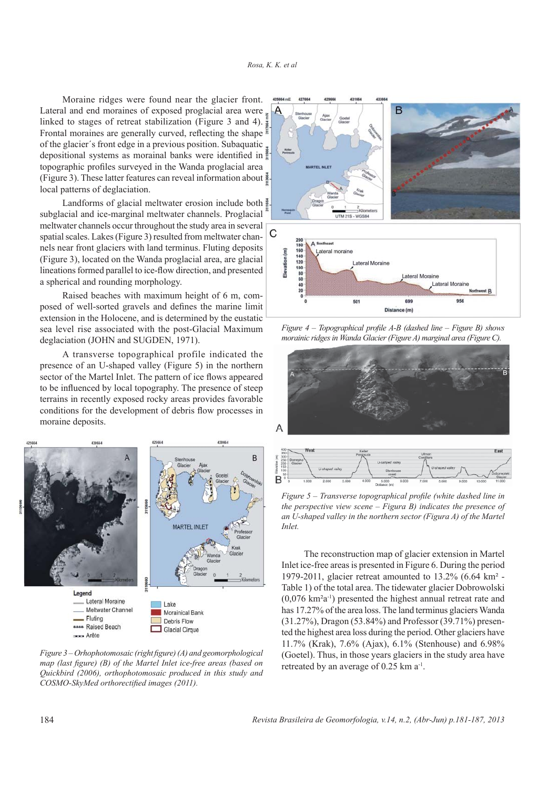Moraine ridges were found near the glacier front. Lateral and end moraines of exposed proglacial area were linked to stages of retreat stabilization (Figure 3 and 4). Frontal moraines are generally curved, reflecting the shape of the glacier´s front edge in a previous position. Subaquatic depositional systems as morainal banks were identified in topographic profiles surveyed in the Wanda proglacial area (Figure 3). These latter features can reveal information about local patterns of deglaciation.

Landforms of glacial meltwater erosion include both subglacial and ice-marginal meltwater channels. Proglacial meltwater channels occur throughout the study area in several spatial scales. Lakes (Figure 3) resulted from meltwater channels near front glaciers with land terminus. Fluting deposits (Figure 3), located on the Wanda proglacial area, are glacial lineations formed parallel to ice-flow direction, and presented a spherical and rounding morphology.

Raised beaches with maximum height of 6 m, composed of well-sorted gravels and defines the marine limit extension in the Holocene, and is determined by the eustatic sea level rise associated with the post-Glacial Maximum deglaciation (JOHN and SUGDEN, 1971).

A transverse topographical profile indicated the presence of an U-shaped valley (Figure 5) in the northern sector of the Martel Inlet. The pattern of ice flows appeared to be influenced by local topography. The presence of steep terrains in recently exposed rocky areas provides favorable conditions for the development of debris flow processes in moraine deposits.



*Figure 3 – Orhophotomosaic (right figure) (A) and geomorphological map (last figure) (B) of the Martel Inlet ice-free areas (based on Quickbird (2006), orthophotomosaic produced in this study and COSMO-SkyMed orthorectified images (2011).* 



*Figure 4 – Topographical profile A-B (dashed line – Figure B) shows morainic ridges in Wanda Glacier (Figure A) marginal area (Figure C).* 





*Figure 5 – Transverse topographical profile (white dashed line in the perspective view scene – Figura B) indicates the presence of an U-shaped valley in the northern sector (Figura A) of the Martel Inlet.*

The reconstruction map of glacier extension in Martel Inlet ice-free areas is presented in Figure 6. During the period 1979-2011, glacier retreat amounted to 13.2% (6.64 km² - Table 1) of the total area. The tidewater glacier Dobrowolski (0,076 km²a-1) presented the highest annual retreat rate and has 17.27% of the area loss. The land terminus glaciers Wanda (31.27%), Dragon (53.84%) and Professor (39.71%) presented the highest area loss during the period. Other glaciers have 11.7% (Krak), 7.6% (Ajax), 6.1% (Stenhouse) and 6.98% (Goetel). Thus, in those years glaciers in the study area have retreated by an average of 0.25 km a<sup>-1</sup>.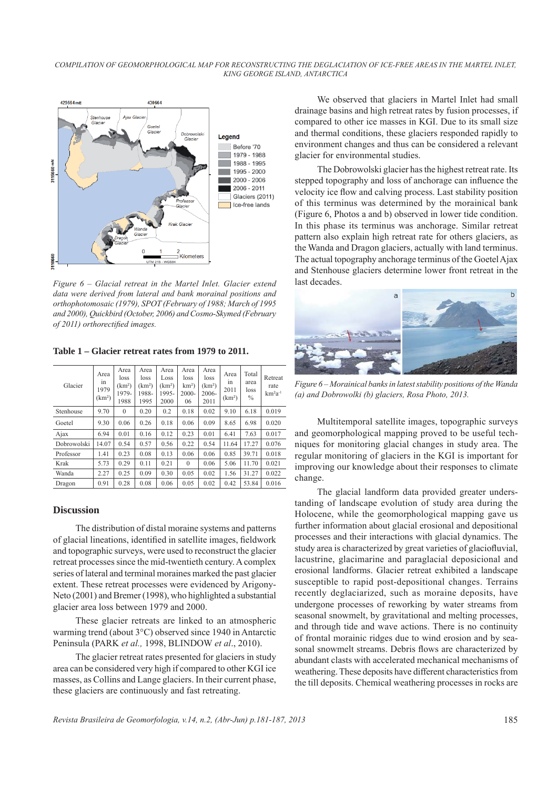*COMPILATION OF GEOMORPHOLOGICAL MAP FOR RECONSTRUCTING THE DEGLACIATION OF ICE-FREE AREAS IN THE MARTEL INLET, KING GEORGE ISLAND, ANTARCTICA*



*Figure 6 – Glacial retreat in the Martel Inlet. Glacier extend data were derived from lateral and bank morainal positions and orthophotomosaic (1979), SPOT (February of 1988; March of 1995 and 2000), Quickbird (October, 2006) and Cosmo-Skymed (February*   $of 2011$ ) orthorectified images.

**Table 1 – Glacier retreat rates from 1979 to 2011.**

| Glacier     | Area<br>1n<br>1979<br>(km <sup>2</sup> ) | Area<br>loss<br>(km <sup>2</sup> )<br>1979-<br>1988 | Area<br>loss<br>(km <sup>2</sup> )<br>1988-<br>1995 | Area<br>Loss<br>(km <sup>2</sup> )<br>1995-<br>2000 | Area<br>loss<br>$km2$ )<br>$2000 -$<br>06 | Area<br>loss<br>(km <sup>2</sup> )<br>$2006 -$<br>2011 | Area<br>in<br>2011<br>(km <sup>2</sup> ) | Total<br>area<br>loss<br>$\%$ | Retreat<br>rate<br>$km2a-1$ |
|-------------|------------------------------------------|-----------------------------------------------------|-----------------------------------------------------|-----------------------------------------------------|-------------------------------------------|--------------------------------------------------------|------------------------------------------|-------------------------------|-----------------------------|
| Stenhouse   | 9.70                                     | $\mathbf{0}$                                        | 0.20                                                | 0.2                                                 | 0.18                                      | 0.02                                                   | 9.10                                     | 6.18                          | 0.019                       |
| Goetel      | 9.30                                     | 0.06                                                | 0.26                                                | 0.18                                                | 0.06                                      | 0.09                                                   | 8.65                                     | 6.98                          | 0.020                       |
| Ajax        | 6.94                                     | 0.01                                                | 0.16                                                | 0.12                                                | 0.23                                      | 0.01                                                   | 6.41                                     | 7.63                          | 0.017                       |
| Dobrowolski | 14.07                                    | 0.54                                                | 0.57                                                | 0.56                                                | 0.22                                      | 0.54                                                   | 11.64                                    | 17.27                         | 0.076                       |
| Professor   | 1.41                                     | 0.23                                                | 0.08                                                | 0.13                                                | 0.06                                      | 0.06                                                   | 0.85                                     | 39.71                         | 0.018                       |
| Krak        | 5.73                                     | 0.29                                                | 0.11                                                | 0.21                                                | $\Omega$                                  | 0.06                                                   | 5.06                                     | 11.70                         | 0.021                       |
| Wanda       | 2.27                                     | 0.25                                                | 0.09                                                | 0.30                                                | 0.05                                      | 0.02                                                   | 1.56                                     | 31.27                         | 0.022                       |
| Dragon      | 0.91                                     | 0.28                                                | 0.08                                                | 0.06                                                | 0.05                                      | 0.02                                                   | 0.42                                     | 53.84                         | 0.016                       |

## **Discussion**

The distribution of distal moraine systems and patterns of glacial lineations, identified in satellite images, fieldwork and topographic surveys, were used to reconstruct the glacier retreat processes since the mid-twentieth century. A complex series of lateral and terminal moraines marked the past glacier extent. These retreat processes were evidenced by Arigony-Neto (2001) and Bremer (1998), who highlighted a substantial glacier area loss between 1979 and 2000.

These glacier retreats are linked to an atmospheric warming trend (about 3°C) observed since 1940 in Antarctic Peninsula (PARK *et al.,* 1998, BLINDOW *et al*., 2010).

The glacier retreat rates presented for glaciers in study area can be considered very high if compared to other KGI ice masses, as Collins and Lange glaciers. In their current phase, these glaciers are continuously and fast retreating.

We observed that glaciers in Martel Inlet had small drainage basins and high retreat rates by fusion processes, if compared to other ice masses in KGI. Due to its small size and thermal conditions, these glaciers responded rapidly to environment changes and thus can be considered a relevant glacier for environmental studies.

The Dobrowolski glacier has the highest retreat rate. Its stepped topography and loss of anchorage can influence the velocity ice flow and calving process. Last stability position of this terminus was determined by the morainical bank (Figure 6, Photos a and b) observed in lower tide condition. In this phase its terminus was anchorage. Similar retreat pattern also explain high retreat rate for others glaciers, as the Wanda and Dragon glaciers, actually with land terminus. The actual topography anchorage terminus of the Goetel Ajax and Stenhouse glaciers determine lower front retreat in the last decades.



*Figure 6 – Morainical banks in latest stability positions of the Wanda (a) and Dobrowolki (b) glaciers, Rosa Photo, 2013.* 

Multitemporal satellite images, topographic surveys and geomorphological mapping proved to be useful techniques for monitoring glacial changes in study area. The regular monitoring of glaciers in the KGI is important for improving our knowledge about their responses to climate change.

The glacial landform data provided greater understanding of landscape evolution of study area during the Holocene, while the geomorphological mapping gave us further information about glacial erosional and depositional processes and their interactions with glacial dynamics. The study area is characterized by great varieties of glaciofluvial, lacustrine, glacimarine and paraglacial deposicional and erosional landforms. Glacier retreat exhibited a landscape susceptible to rapid post-depositional changes. Terrains recently deglaciarized, such as moraine deposits, have undergone processes of reworking by water streams from seasonal snowmelt, by gravitational and melting processes, and through tide and wave actions. There is no continuity of frontal morainic ridges due to wind erosion and by seasonal snowmelt streams. Debris flows are characterized by abundant clasts with accelerated mechanical mechanisms of weathering. These deposits have different characteristics from the till deposits. Chemical weathering processes in rocks are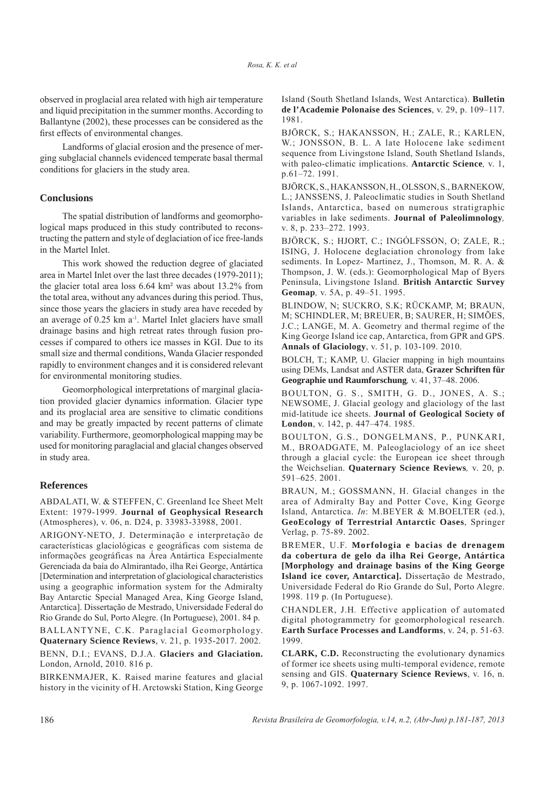observed in proglacial area related with high air temperature and liquid precipitation in the summer months. According to Ballantyne (2002), these processes can be considered as the first effects of environmental changes.

Landforms of glacial erosion and the presence of merging subglacial channels evidenced temperate basal thermal conditions for glaciers in the study area.

#### **Conclusions**

The spatial distribution of landforms and geomorphological maps produced in this study contributed to reconstructing the pattern and style of deglaciation of ice free-lands in the Martel Inlet.

This work showed the reduction degree of glaciated area in Martel Inlet over the last three decades (1979-2011); the glacier total area loss 6.64 km² was about 13.2% from the total area, without any advances during this period. Thus, since those years the glaciers in study area have receded by an average of 0.25 km a-1. Martel Inlet glaciers have small drainage basins and high retreat rates through fusion processes if compared to others ice masses in KGI. Due to its small size and thermal conditions, Wanda Glacier responded rapidly to environment changes and it is considered relevant for environmental monitoring studies.

Geomorphological interpretations of marginal glaciation provided glacier dynamics information. Glacier type and its proglacial area are sensitive to climatic conditions and may be greatly impacted by recent patterns of climate variability. Furthermore, geomorphological mapping may be used for monitoring paraglacial and glacial changes observed in study area.

## **References**

ABDALATI, W. & STEFFEN, C. Greenland Ice Sheet Melt Extent: 1979-1999. **Journal of Geophysical Research**  (Atmospheres), v. 06, n. D24, p. 33983-33988, 2001.

ARIGONY-NETO, J. Determinação e interpretação de características glaciológicas e geográficas com sistema de informações geográficas na Área Antártica Especialmente Gerenciada da baía do Almirantado, ilha Rei George, Antártica [Determination and interpretation of glaciological characteristics using a geographic information system for the Admiralty Bay Antarctic Special Managed Area, King George Island, Antarctica]. Dissertação de Mestrado, Universidade Federal do Rio Grande do Sul, Porto Alegre. (In Portuguese), 2001. 84 p.

BALLANTYNE, C.K. Paraglacial Geomorphology. **Quaternary Science Reviews**, v. 21, p. 1935-2017. 2002.

BENN, D.I.; EVANS, D.J.A. **Glaciers and Glaciation.** London, Arnold, 2010. 816 p.

BIRKENMAJER, K. Raised marine features and glacial history in the vicinity of H. Arctowski Station, King George

Island (South Shetland Islands, West Antarctica). **Bulletin de l'Academie Polonaise des Sciences**, v. 29, p. 109–117. 1981.

BJÖRCK, S.; HAKANSSON, H.; ZALE, R.; KARLEN, W.; JONSSON, B. L. A late Holocene lake sediment sequence from Livingstone Island, South Shetland Islands, with paleo-climatic implications. **Antarctic Science***,* v. 1, p.61–72. 1991.

BJÖRCK, S., HAKANSSON, H., OLSSON, S., BARNEKOW, L.; JANSSENS, J. Paleoclimatic studies in South Shetland Islands, Antarctica, based on numerous stratigraphic variables in lake sediments. **Journal of Paleolimnology***,* v. 8, p. 233–272. 1993.

BJÖRCK, S.; HJORT, C.; INGÓLFSSON, O; ZALE, R.; ISING, J. Holocene deglaciation chronology from lake sediments. In Lopez- Martinez, J., Thomson, M. R. A. & Thompson, J. W. (eds.): Geomorphological Map of Byers Peninsula, Livingstone Island. **British Antarctic Survey Geomap***,* v. 5A, p. 49–51. 1995.

BLINDOW, N; SUCKRO, S.K; RÜCKAMP, M; BRAUN, M; SCHINDLER, M; BREUER, B; SAURER, H; SIMÕES, J.C.; LANGE, M. A. Geometry and thermal regime of the King George Island ice cap, Antarctica, from GPR and GPS. **Annals of Glaciology**, v. 51, p. 103-109. 2010.

BOLCH, T.; KAMP, U. Glacier mapping in high mountains using DEMs, Landsat and ASTER data, **Grazer Schriften für Geographie und Raumforschung***,* v. 41, 37–48. 2006.

BOULTON, G. S., SMITH, G. D., JONES, A. S.; NEWSOME, J. Glacial geology and glaciology of the last mid-latitude ice sheets. **Journal of Geological Society of London**, v. 142, p. 447–474. 1985.

BOULTON, G.S., DONGELMANS, P., PUNKARI, M., BROADGATE, M. Paleoglaciology of an ice sheet through a glacial cycle: the European ice sheet through the Weichselian. **Quaternary Science Reviews***,* v. 20, p. 591–625. 2001.

BRAUN, M.; GOSSMANN, H. Glacial changes in the area of Admiralty Bay and Potter Cove, King George Island, Antarctica. *In*: M.BEYER & M.BOELTER (ed.), **GeoEcology of Terrestrial Antarctic Oases**, Springer Verlag, p. 75-89. 2002.

BREMER, U.F. **Morfologia e bacias de drenagem da cobertura de gelo da ilha Rei George, Antártica [Morphology and drainage basins of the King George Island ice cover, Antarctica].** Dissertação de Mestrado, Universidade Federal do Rio Grande do Sul, Porto Alegre. 1998. 119 p. (In Portuguese).

CHANDLER, J.H*.* Effective application of automated digital photogrammetry for geomorphological research. **Earth Surface Processes and Landforms**, v. 24, p. 51-63*.* 1999.

**CLARK, C.D.** Reconstructing the evolutionary dynamics of former ice sheets using multi-temporal evidence, remote sensing and GIS. **Quaternary Science Reviews**, v. 16, n. 9, p. 1067-1092. 1997.